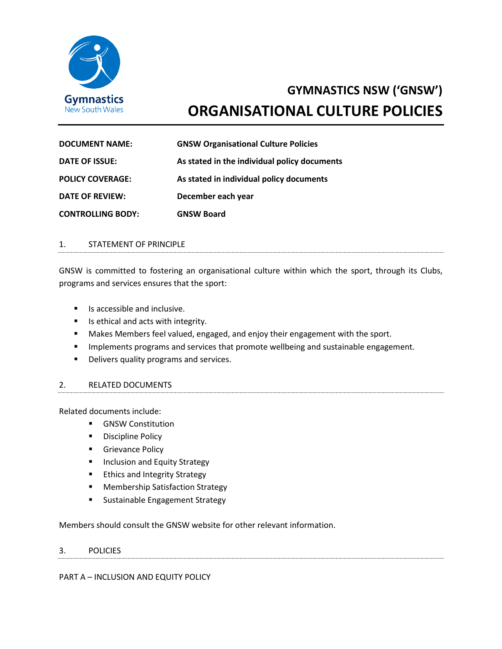

# **GYMNASTICS NSW ('GNSW') ORGANISATIONAL CULTURE POLICIES**

| <b>DOCUMENT NAME:</b>    | <b>GNSW Organisational Culture Policies</b>  |
|--------------------------|----------------------------------------------|
| DATE OF ISSUE:           | As stated in the individual policy documents |
| <b>POLICY COVERAGE:</b>  | As stated in individual policy documents     |
| DATE OF REVIEW:          | December each year                           |
| <b>CONTROLLING BODY:</b> | <b>GNSW Board</b>                            |

#### 1. STATEMENT OF PRINCIPLE

GNSW is committed to fostering an organisational culture within which the sport, through its Clubs, programs and services ensures that the sport:

- Is accessible and inclusive.
- Is ethical and acts with integrity.
- Makes Members feel valued, engaged, and enjoy their engagement with the sport.
- **■** Implements programs and services that promote wellbeing and sustainable engagement.
- Delivers quality programs and services.

#### 2. RELATED DOCUMENTS

Related documents include:

- GNSW Constitution
- Discipline Policy
- **■** Grievance Policy
- Inclusion and Equity Strategy
- Ethics and Integrity Strategy
- Membership Satisfaction Strategy
- **E** Sustainable Engagement Strategy

Members should consult the GNSW website for other relevant information.

#### 3. POLICIES

PART A – INCLUSION AND EQUITY POLICY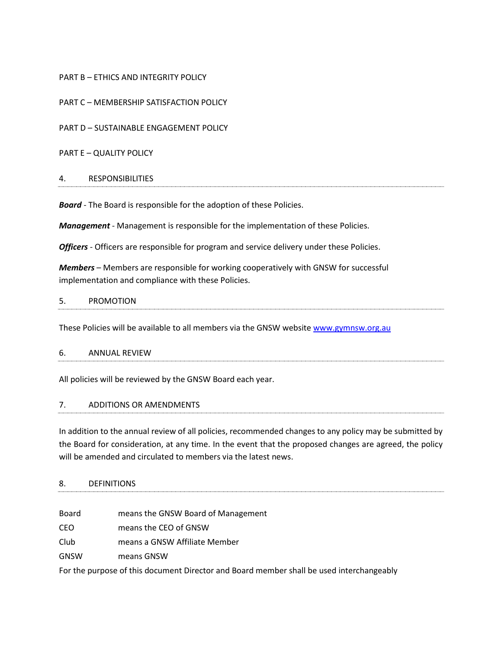# PART B – ETHICS AND INTEGRITY POLICY

PART C – MEMBERSHIP SATISFACTION POLICY

PART D – SUSTAINABLE ENGAGEMENT POLICY

PART E – QUALITY POLICY

#### 4. RESPONSIBILITIES

*Board* - The Board is responsible for the adoption of these Policies.

*Management* - Management is responsible for the implementation of these Policies.

*Officers* - Officers are responsible for program and service delivery under these Policies.

*Members* – Members are responsible for working cooperatively with GNSW for successful implementation and compliance with these Policies.

#### 5. PROMOTION

These Policies will be available to all members via the GNSW website [www.gymnsw.org.au](http://www.gymnsw.org.au/)

#### 6. ANNUAL REVIEW

All policies will be reviewed by the GNSW Board each year.

#### 7. ADDITIONS OR AMENDMENTS

In addition to the annual review of all policies, recommended changes to any policy may be submitted by the Board for consideration, at any time. In the event that the proposed changes are agreed, the policy will be amended and circulated to members via the latest news.

#### 8. DEFINITIONS

Board means the GNSW Board of Management

CEO means the CEO of GNSW

- Club means a GNSW Affiliate Member
- GNSW means GNSW

For the purpose of this document Director and Board member shall be used interchangeably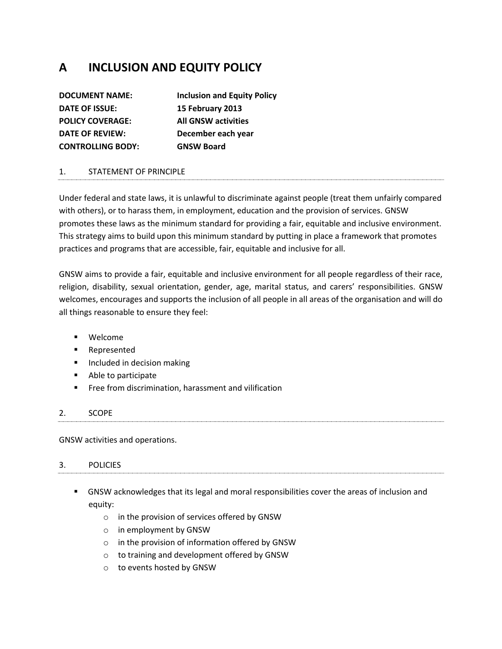# **A INCLUSION AND EQUITY POLICY**

| <b>Inclusion and Equity Policy</b> |
|------------------------------------|
| 15 February 2013                   |
| <b>All GNSW activities</b>         |
| December each year                 |
| <b>GNSW Board</b>                  |
|                                    |

# 1. STATEMENT OF PRINCIPLE

Under federal and state laws, it is unlawful to discriminate against people (treat them unfairly compared with others), or to harass them, in employment, education and the provision of services. GNSW promotes these laws as the minimum standard for providing a fair, equitable and inclusive environment. This strategy aims to build upon this minimum standard by putting in place a framework that promotes practices and programs that are accessible, fair, equitable and inclusive for all.

GNSW aims to provide a fair, equitable and inclusive environment for all people regardless of their race, religion, disability, sexual orientation, gender, age, marital status, and carers' responsibilities. GNSW welcomes, encourages and supports the inclusion of all people in all areas of the organisation and will do all things reasonable to ensure they feel:

- Welcome
- Represented
- Included in decision making
- Able to participate
- Free from discrimination, harassment and vilification

# 2. SCOPE

GNSW activities and operations.

#### 3. POLICIES

- **GNSW acknowledges that its legal and moral responsibilities cover the areas of inclusion and** equity:
	- o in the provision of services offered by GNSW
	- o in employment by GNSW
	- o in the provision of information offered by GNSW
	- o to training and development offered by GNSW
	- o to events hosted by GNSW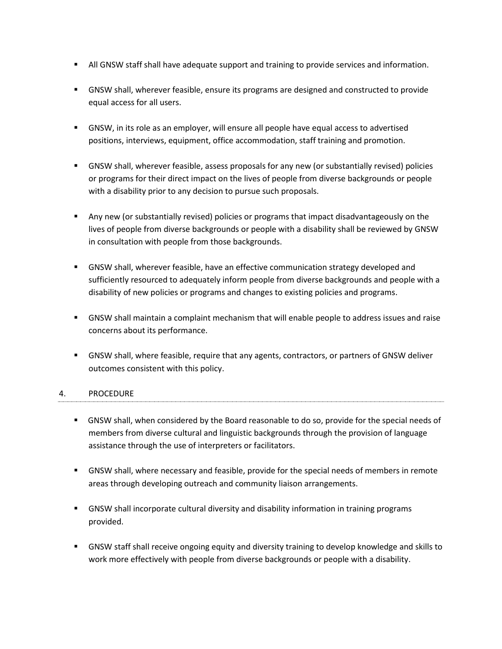- **EXECT** All GNSW staff shall have adequate support and training to provide services and information.
- GNSW shall, wherever feasible, ensure its programs are designed and constructed to provide equal access for all users.
- **•** GNSW, in its role as an employer, will ensure all people have equal access to advertised positions, interviews, equipment, office accommodation, staff training and promotion.
- GNSW shall, wherever feasible, assess proposals for any new (or substantially revised) policies or programs for their direct impact on the lives of people from diverse backgrounds or people with a disability prior to any decision to pursue such proposals.
- **EX Any new (or substantially revised) policies or programs that impact disadvantageously on the** lives of people from diverse backgrounds or people with a disability shall be reviewed by GNSW in consultation with people from those backgrounds.
- **GNSW shall, wherever feasible, have an effective communication strategy developed and** sufficiently resourced to adequately inform people from diverse backgrounds and people with a disability of new policies or programs and changes to existing policies and programs.
- GNSW shall maintain a complaint mechanism that will enable people to address issues and raise concerns about its performance.
- GNSW shall, where feasible, require that any agents, contractors, or partners of GNSW deliver outcomes consistent with this policy.

# 4. PROCEDURE

- GNSW shall, when considered by the Board reasonable to do so, provide for the special needs of members from diverse cultural and linguistic backgrounds through the provision of language assistance through the use of interpreters or facilitators.
- **GNSW shall, where necessary and feasible, provide for the special needs of members in remote** areas through developing outreach and community liaison arrangements.
- GNSW shall incorporate cultural diversity and disability information in training programs provided.
- GNSW staff shall receive ongoing equity and diversity training to develop knowledge and skills to work more effectively with people from diverse backgrounds or people with a disability.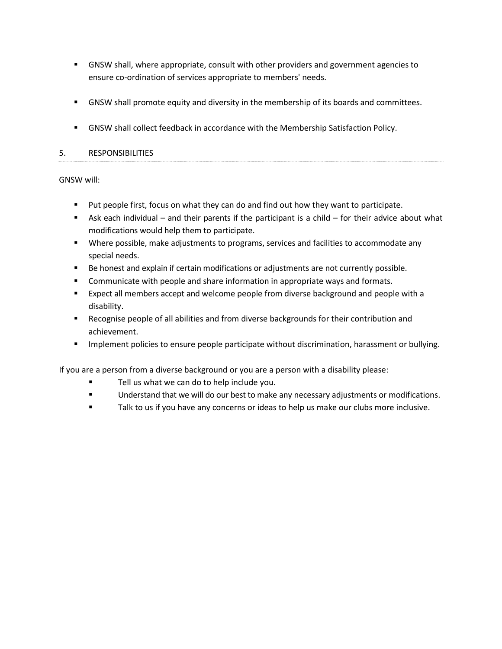- GNSW shall, where appropriate, consult with other providers and government agencies to ensure co-ordination of services appropriate to members' needs.
- GNSW shall promote equity and diversity in the membership of its boards and committees.
- **GNSW shall collect feedback in accordance with the Membership Satisfaction Policy.**

# 5. RESPONSIBILITIES

# GNSW will:

- Put people first, focus on what they can do and find out how they want to participate.
- **EXECT** Ask each individual and their parents if the participant is a child for their advice about what modifications would help them to participate.
- **■** Where possible, make adjustments to programs, services and facilities to accommodate any special needs.
- Be honest and explain if certain modifications or adjustments are not currently possible.
- Communicate with people and share information in appropriate ways and formats.
- Expect all members accept and welcome people from diverse background and people with a disability.
- Recognise people of all abilities and from diverse backgrounds for their contribution and achievement.
- **■** Implement policies to ensure people participate without discrimination, harassment or bullying.

If you are a person from a diverse background or you are a person with a disability please:

- Tell us what we can do to help include you.
- Understand that we will do our best to make any necessary adjustments or modifications.
- Talk to us if you have any concerns or ideas to help us make our clubs more inclusive.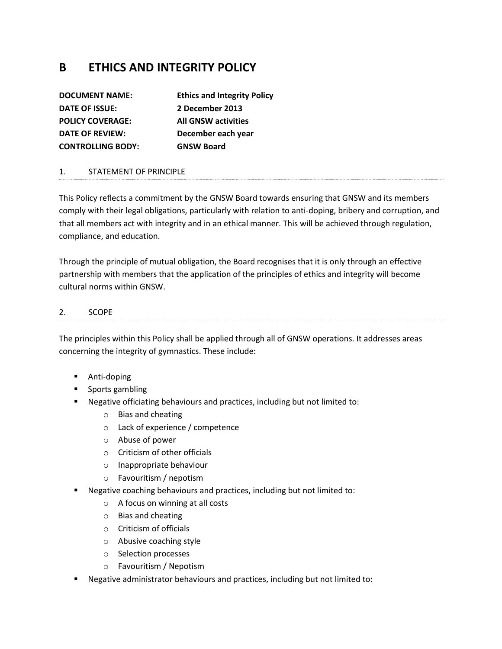# **B ETHICS AND INTEGRITY POLICY**

| <b>DOCUMENT NAME:</b>    | <b>Ethics and Integrity Policy</b> |
|--------------------------|------------------------------------|
| DATE OF ISSUE:           | 2 December 2013                    |
| <b>POLICY COVERAGE:</b>  | <b>All GNSW activities</b>         |
| <b>DATE OF REVIEW:</b>   | December each year                 |
| <b>CONTROLLING BODY:</b> | <b>GNSW Board</b>                  |

# 1. STATEMENT OF PRINCIPLE

This Policy reflects a commitment by the GNSW Board towards ensuring that GNSW and its members comply with their legal obligations, particularly with relation to anti-doping, bribery and corruption, and that all members act with integrity and in an ethical manner. This will be achieved through regulation, compliance, and education.

Through the principle of mutual obligation, the Board recognises that it is only through an effective partnership with members that the application of the principles of ethics and integrity will become cultural norms within GNSW.

#### 2. SCOPE

The principles within this Policy shall be applied through all of GNSW operations. It addresses areas concerning the integrity of gymnastics. These include:

- Anti-doping
- Sports gambling
- Negative officiating behaviours and practices, including but not limited to:
	- o Bias and cheating
	- o Lack of experience / competence
	- o Abuse of power
	- o Criticism of other officials
	- o Inappropriate behaviour
	- o Favouritism / nepotism
- Negative coaching behaviours and practices, including but not limited to:
	- o A focus on winning at all costs
	- o Bias and cheating
	- o Criticism of officials
	- o Abusive coaching style
	- o Selection processes
	- o Favouritism / Nepotism
- Negative administrator behaviours and practices, including but not limited to: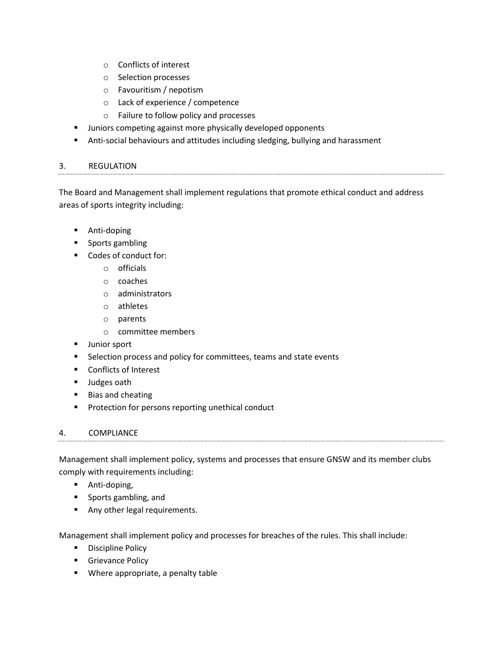- o Conflicts of interest
- o Selection processes
- o Favouritism / nepotism
- o Lack of experience / competence
- o Failure to follow policy and processes
- **■** Juniors competing against more physically developed opponents
- Anti-social behaviours and attitudes including sledging, bullying and harassment

#### 3. REGULATION

The Board and Management shall implement regulations that promote ethical conduct and address areas of sports integrity including:

- Anti-doping
- Sports gambling
- Codes of conduct for:
	- o officials
	- o coaches
	- o administrators
	- o athletes
	- o parents
	- o committee members
- Junior sport
- Selection process and policy for committees, teams and state events
- Conflicts of Interest
- Judges oath
- Bias and cheating
- Protection for persons reporting unethical conduct

#### 4. COMPLIANCE

Management shall implement policy, systems and processes that ensure GNSW and its member clubs comply with requirements including:

- **■** Anti-doping,
- Sports gambling, and
- **E** Any other legal requirements.

Management shall implement policy and processes for breaches of the rules. This shall include:

- Discipline Policy
- **■** Grievance Policy
- Where appropriate, a penalty table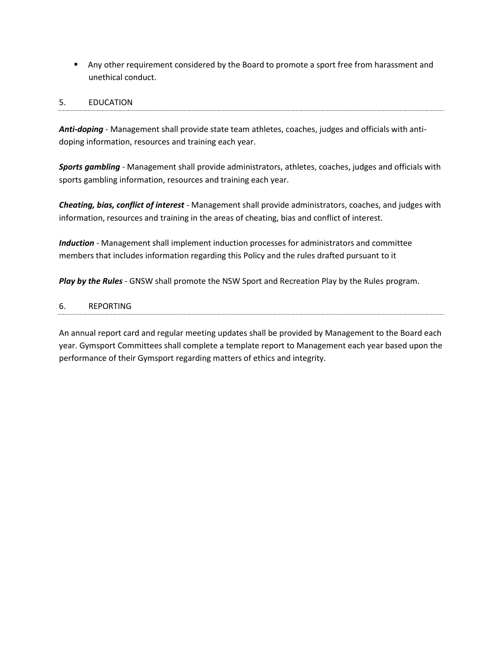■ Any other requirement considered by the Board to promote a sport free from harassment and unethical conduct.

# 5. EDUCATION

*Anti-doping -* Management shall provide state team athletes, coaches, judges and officials with antidoping information, resources and training each year.

*Sports gambling -* Management shall provide administrators, athletes, coaches, judges and officials with sports gambling information, resources and training each year.

*Cheating, bias, conflict of interest -* Management shall provide administrators, coaches, and judges with information, resources and training in the areas of cheating, bias and conflict of interest.

*Induction -* Management shall implement induction processes for administrators and committee members that includes information regarding this Policy and the rules drafted pursuant to it

*Play by the Rules -* GNSW shall promote the NSW Sport and Recreation Play by the Rules program.

#### 6. REPORTING

An annual report card and regular meeting updates shall be provided by Management to the Board each year. Gymsport Committees shall complete a template report to Management each year based upon the performance of their Gymsport regarding matters of ethics and integrity.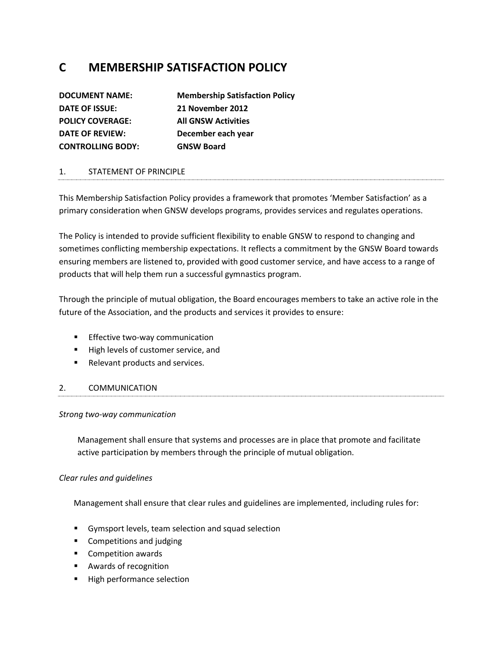# **C MEMBERSHIP SATISFACTION POLICY**

| <b>DOCUMENT NAME:</b>    | <b>Membership Satisfaction Policy</b> |
|--------------------------|---------------------------------------|
| DATE OF ISSUE:           | 21 November 2012                      |
| <b>POLICY COVERAGE:</b>  | <b>All GNSW Activities</b>            |
| <b>DATE OF REVIEW:</b>   | December each year                    |
| <b>CONTROLLING BODY:</b> | <b>GNSW Board</b>                     |

# 1. STATEMENT OF PRINCIPLE

This Membership Satisfaction Policy provides a framework that promotes 'Member Satisfaction' as a primary consideration when GNSW develops programs, provides services and regulates operations.

The Policy is intended to provide sufficient flexibility to enable GNSW to respond to changing and sometimes conflicting membership expectations. It reflects a commitment by the GNSW Board towards ensuring members are listened to, provided with good customer service, and have access to a range of products that will help them run a successful gymnastics program.

Through the principle of mutual obligation, the Board encourages members to take an active role in the future of the Association, and the products and services it provides to ensure:

- **Effective two-way communication**
- High levels of customer service, and
- Relevant products and services.

#### 2. COMMUNICATION

#### *Strong two-way communication*

Management shall ensure that systems and processes are in place that promote and facilitate active participation by members through the principle of mutual obligation.

#### *Clear rules and guidelines*

Management shall ensure that clear rules and guidelines are implemented, including rules for:

- Gymsport levels, team selection and squad selection
- Competitions and judging
- Competition awards
- Awards of recognition
- High performance selection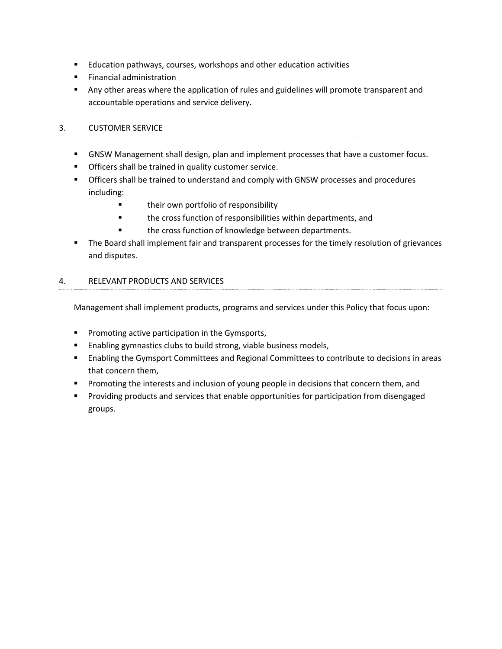- Education pathways, courses, workshops and other education activities
- Financial administration
- **■** Any other areas where the application of rules and guidelines will promote transparent and accountable operations and service delivery.

# 3. CUSTOMER SERVICE

- **■** GNSW Management shall design, plan and implement processes that have a customer focus.
- Officers shall be trained in quality customer service.
- **•** Officers shall be trained to understand and comply with GNSW processes and procedures including:
	- **■** their own portfolio of responsibility
	- the cross function of responsibilities within departments, and
	- the cross function of knowledge between departments.
- The Board shall implement fair and transparent processes for the timely resolution of grievances and disputes.

#### 4. RELEVANT PRODUCTS AND SERVICES

Management shall implement products, programs and services under this Policy that focus upon:

- Promoting active participation in the Gymsports,
- Enabling gymnastics clubs to build strong, viable business models,
- Enabling the Gymsport Committees and Regional Committees to contribute to decisions in areas that concern them,
- **•** Promoting the interests and inclusion of young people in decisions that concern them, and
- **■** Providing products and services that enable opportunities for participation from disengaged groups.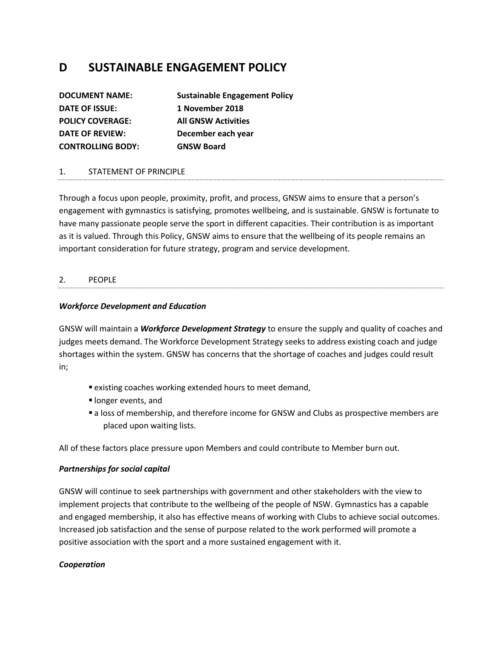# **D SUSTAINABLE ENGAGEMENT POLICY**

| <b>DOCUMENT NAME:</b>    | <b>Sustainable Engagement Policy</b> |
|--------------------------|--------------------------------------|
| DATE OF ISSUE:           | 1 November 2018                      |
| <b>POLICY COVERAGE:</b>  | <b>All GNSW Activities</b>           |
| <b>DATE OF REVIEW:</b>   | December each year                   |
| <b>CONTROLLING BODY:</b> | <b>GNSW Board</b>                    |

#### 1. STATEMENT OF PRINCIPLE

Through a focus upon people, proximity, profit, and process, GNSW aims to ensure that a person's engagement with gymnastics is satisfying, promotes wellbeing, and is sustainable. GNSW is fortunate to have many passionate people serve the sport in different capacities. Their contribution is as important as it is valued. Through this Policy, GNSW aims to ensure that the wellbeing of its people remains an important consideration for future strategy, program and service development.

#### 2. PEOPLE

#### *Workforce Development and Education*

GNSW will maintain a *Workforce Development Strategy* to ensure the supply and quality of coaches and judges meets demand. The Workforce Development Strategy seeks to address existing coach and judge shortages within the system. GNSW has concerns that the shortage of coaches and judges could result in;

- existing coaches working extended hours to meet demand,
- **· longer events, and**
- a loss of membership, and therefore income for GNSW and Clubs as prospective members are placed upon waiting lists.

All of these factors place pressure upon Members and could contribute to Member burn out.

#### *Partnerships for social capital*

GNSW will continue to seek partnerships with government and other stakeholders with the view to implement projects that contribute to the wellbeing of the people of NSW. Gymnastics has a capable and engaged membership, it also has effective means of working with Clubs to achieve social outcomes. Increased job satisfaction and the sense of purpose related to the work performed will promote a positive association with the sport and a more sustained engagement with it.

#### *Cooperation*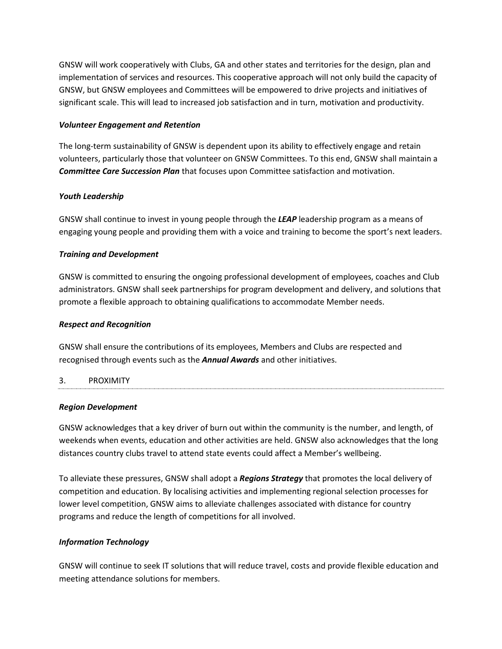GNSW will work cooperatively with Clubs, GA and other states and territories for the design, plan and implementation of services and resources. This cooperative approach will not only build the capacity of GNSW, but GNSW employees and Committees will be empowered to drive projects and initiatives of significant scale. This will lead to increased job satisfaction and in turn, motivation and productivity.

#### *Volunteer Engagement and Retention*

The long-term sustainability of GNSW is dependent upon its ability to effectively engage and retain volunteers, particularly those that volunteer on GNSW Committees. To this end, GNSW shall maintain a *Committee Care Succession Plan* that focuses upon Committee satisfaction and motivation.

# *Youth Leadership*

GNSW shall continue to invest in young people through the *LEAP* leadership program as a means of engaging young people and providing them with a voice and training to become the sport's next leaders.

# *Training and Development*

GNSW is committed to ensuring the ongoing professional development of employees, coaches and Club administrators. GNSW shall seek partnerships for program development and delivery, and solutions that promote a flexible approach to obtaining qualifications to accommodate Member needs.

#### *Respect and Recognition*

GNSW shall ensure the contributions of its employees, Members and Clubs are respected and recognised through events such as the *Annual Awards* and other initiatives.

#### 3. PROXIMITY

#### *Region Development*

GNSW acknowledges that a key driver of burn out within the community is the number, and length, of weekends when events, education and other activities are held. GNSW also acknowledges that the long distances country clubs travel to attend state events could affect a Member's wellbeing.

To alleviate these pressures, GNSW shall adopt a *Regions Strategy* that promotes the local delivery of competition and education. By localising activities and implementing regional selection processes for lower level competition, GNSW aims to alleviate challenges associated with distance for country programs and reduce the length of competitions for all involved.

#### *Information Technology*

GNSW will continue to seek IT solutions that will reduce travel, costs and provide flexible education and meeting attendance solutions for members.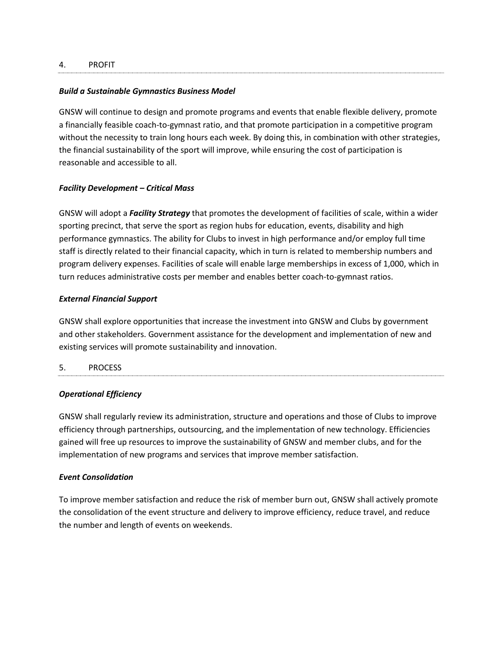#### 4. PROFIT

#### *Build a Sustainable Gymnastics Business Model*

GNSW will continue to design and promote programs and events that enable flexible delivery, promote a financially feasible coach-to-gymnast ratio, and that promote participation in a competitive program without the necessity to train long hours each week. By doing this, in combination with other strategies, the financial sustainability of the sport will improve, while ensuring the cost of participation is reasonable and accessible to all.

#### *Facility Development – Critical Mass*

GNSW will adopt a *Facility Strategy* that promotes the development of facilities of scale, within a wider sporting precinct, that serve the sport as region hubs for education, events, disability and high performance gymnastics. The ability for Clubs to invest in high performance and/or employ full time staff is directly related to their financial capacity, which in turn is related to membership numbers and program delivery expenses. Facilities of scale will enable large memberships in excess of 1,000, which in turn reduces administrative costs per member and enables better coach-to-gymnast ratios.

#### *External Financial Support*

GNSW shall explore opportunities that increase the investment into GNSW and Clubs by government and other stakeholders. Government assistance for the development and implementation of new and existing services will promote sustainability and innovation.

#### 5. PROCESS

#### *Operational Efficiency*

GNSW shall regularly review its administration, structure and operations and those of Clubs to improve efficiency through partnerships, outsourcing, and the implementation of new technology. Efficiencies gained will free up resources to improve the sustainability of GNSW and member clubs, and for the implementation of new programs and services that improve member satisfaction.

#### *Event Consolidation*

To improve member satisfaction and reduce the risk of member burn out, GNSW shall actively promote the consolidation of the event structure and delivery to improve efficiency, reduce travel, and reduce the number and length of events on weekends.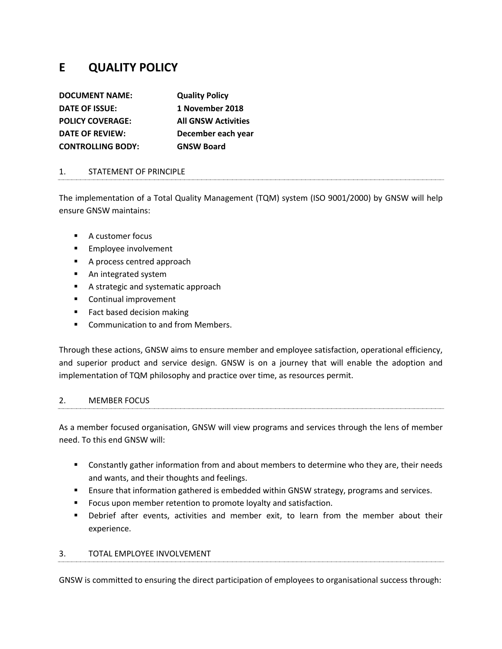# **E QUALITY POLICY**

| <b>DOCUMENT NAME:</b>    | <b>Quality Policy</b>      |
|--------------------------|----------------------------|
| DATE OF ISSUE:           | 1 November 2018            |
| <b>POLICY COVERAGE:</b>  | <b>All GNSW Activities</b> |
| <b>DATE OF REVIEW:</b>   | December each year         |
| <b>CONTROLLING BODY:</b> | <b>GNSW Board</b>          |

#### 1. STATEMENT OF PRINCIPLE

The implementation of a Total Quality Management (TQM) system (ISO 9001/2000) by GNSW will help ensure GNSW maintains:

- A customer focus
- Employee involvement
- A process centred approach
- An integrated system
- A strategic and systematic approach
- Continual improvement
- Fact based decision making
- Communication to and from Members.

Through these actions, GNSW aims to ensure member and employee satisfaction, operational efficiency, and superior product and service design. GNSW is on a journey that will enable the adoption and implementation of TQM philosophy and practice over time, as resources permit.

#### 2. MEMBER FOCUS

As a member focused organisation, GNSW will view programs and services through the lens of member need. To this end GNSW will:

- Constantly gather information from and about members to determine who they are, their needs and wants, and their thoughts and feelings.
- **E** Ensure that information gathered is embedded within GNSW strategy, programs and services.
- Focus upon member retention to promote loyalty and satisfaction.
- **•** Debrief after events, activities and member exit, to learn from the member about their experience.

#### 3. TOTAL EMPLOYEE INVOLVEMENT

GNSW is committed to ensuring the direct participation of employees to organisational success through: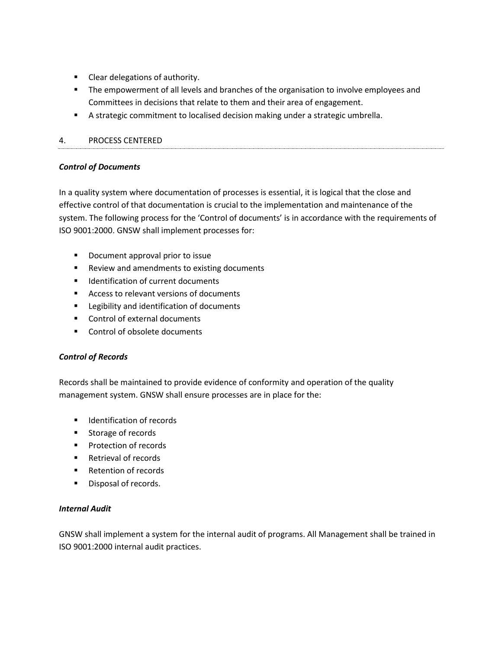- Clear delegations of authority.
- **■** The empowerment of all levels and branches of the organisation to involve employees and Committees in decisions that relate to them and their area of engagement.
- **E** A strategic commitment to localised decision making under a strategic umbrella.

# 4. PROCESS CENTERED

# *Control of Documents*

In a quality system where documentation of processes is essential, it is logical that the close and effective control of that documentation is crucial to the implementation and maintenance of the system. The following process for the 'Control of documents' is in accordance with the requirements of ISO 9001:2000. GNSW shall implement processes for:

- Document approval prior to issue
- Review and amendments to existing documents
- Identification of current documents
- Access to relevant versions of documents
- Legibility and identification of documents
- Control of external documents
- Control of obsolete documents

# *Control of Records*

Records shall be maintained to provide evidence of conformity and operation of the quality management system. GNSW shall ensure processes are in place for the:

- Identification of records
- Storage of records
- Protection of records
- Retrieval of records
- Retention of records
- Disposal of records.

# *Internal Audit*

GNSW shall implement a system for the internal audit of programs. All Management shall be trained in ISO 9001:2000 internal audit practices.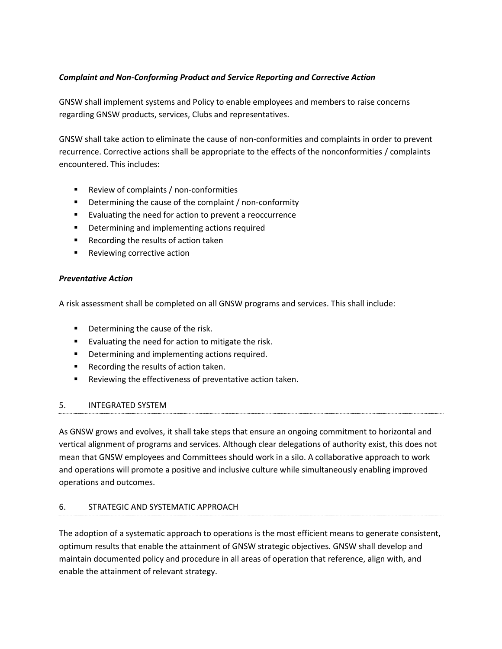# *Complaint and Non-Conforming Product and Service Reporting and Corrective Action*

GNSW shall implement systems and Policy to enable employees and members to raise concerns regarding GNSW products, services, Clubs and representatives.

GNSW shall take action to eliminate the cause of non-conformities and complaints in order to prevent recurrence. Corrective actions shall be appropriate to the effects of the nonconformities / complaints encountered. This includes:

- Review of complaints / non-conformities
- Determining the cause of the complaint / non-conformity
- Evaluating the need for action to prevent a reoccurrence
- Determining and implementing actions required
- Recording the results of action taken
- Reviewing corrective action

#### *Preventative Action*

A risk assessment shall be completed on all GNSW programs and services. This shall include:

- Determining the cause of the risk.
- Evaluating the need for action to mitigate the risk.
- Determining and implementing actions required.
- Recording the results of action taken.
- Reviewing the effectiveness of preventative action taken.

#### 5. INTEGRATED SYSTEM

As GNSW grows and evolves, it shall take steps that ensure an ongoing commitment to horizontal and vertical alignment of programs and services. Although clear delegations of authority exist, this does not mean that GNSW employees and Committees should work in a silo. A collaborative approach to work and operations will promote a positive and inclusive culture while simultaneously enabling improved operations and outcomes.

#### 6. STRATEGIC AND SYSTEMATIC APPROACH

The adoption of a systematic approach to operations is the most efficient means to generate consistent, optimum results that enable the attainment of GNSW strategic objectives. GNSW shall develop and maintain documented policy and procedure in all areas of operation that reference, align with, and enable the attainment of relevant strategy.